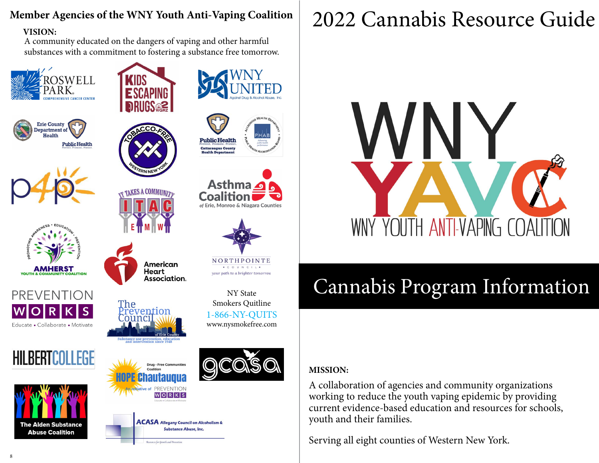## **Member Agencies of the WNY Youth Anti-Vaping Coalition**

#### **VISION:**

A community educated on the dangers of vaping and other harmful substances with a commitment to fostering a substance free tomorrow.

























NORTHPOINTE + C O U N C I L + your path to a brighter tomorrou

NY State

Smokers Quitline vention [1-866-NY-QUITS](https://www.nysmokefree.com/) www.nysmokefree.com

American

Association.

**Drug - Free Communities** nautaudua PREVENTION WORKS

Resources for Growth and Prevention

Heart

ľhe



ACASA Allegany Council on Alcoholism & **Substance Abuse, Inc.** 

# 2022 Cannabis Resource Guide



# Cannabis Program Information

### **MISSION:**

A collaboration of agencies and community organizations working to reduce the youth vaping epidemic by providing current evidence-based education and resources for schools, youth and their families.

Serving all eight counties of Western New York.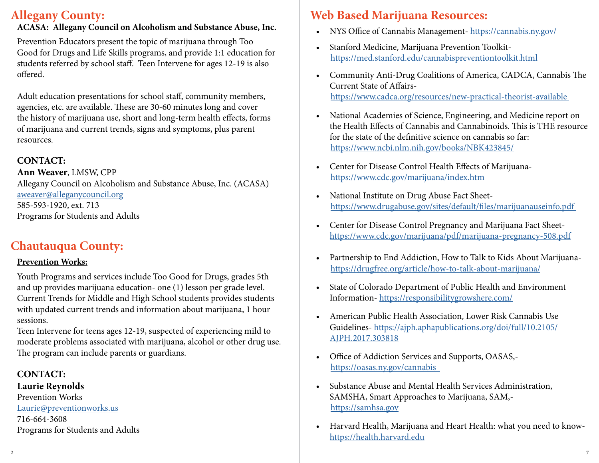# **Allegany County:**

### **ACASA: Allegany Council on Alcoholism and Substance Abuse, Inc.**

Prevention Educators present the topic of marijuana through Too Good for Drugs and Life Skills programs, and provide 1:1 education for students referred by school staff. Teen Intervene for ages 12-19 is also offered.

Adult education presentations for school staff, community members, agencies, etc. are available. These are 30-60 minutes long and cover the history of marijuana use, short and long-term health effects, forms of marijuana and current trends, signs and symptoms, plus parent resources.

### **CONTACT:**

**Ann Weaver**, LMSW, CPP Allegany Council on Alcoholism and Substance Abuse, Inc. (ACASA) [aweaver@alleganycouncil.org](mailto:aweaver%40alleganycouncil.org?subject=) 585-593-1920, ext. 713 Programs for Students and Adults

# **Chautauqua County:**

### **Prevention Works:**

Youth Programs and services include Too Good for Drugs, grades 5th and up provides marijuana education- one (1) lesson per grade level. Current Trends for Middle and High School students provides students with updated current trends and information about marijuana, 1 hour sessions.

Teen Intervene for teens ages 12-19, suspected of experiencing mild to moderate problems associated with marijuana, alcohol or other drug use. The program can include parents or guardians.

**CONTACT: Laurie Reynolds** Prevention Works [Laurie@preventionworks.us](mailto:Laurie%40preventionworks.us?subject=) 716-664-3608 Programs for Students and Adults

# **Web Based Marijuana Resources:**

- NYS Office of Cannabis Management- [https://cannabis.ny.gov/](https://cannabis.ny.gov/  )
- Stanford Medicine, Marijuana Prevention Toolkit [https://med.stanford.edu/cannabispreventiontoolkit.html](https://med.stanford.edu/cannabispreventiontoolkit.html  )
- Community Anti-Drug Coalitions of America, CADCA, Cannabis The Current State of Affairs [https://www.cadca.org/resources/new-practical-theorist-available](https://www.cadca.org/resources/new-practical-theorist-available  )
- National Academies of Science, Engineering, and Medicine report on the Health Effects of Cannabis and Cannabinoids. This is THE resource for the state of the definitive science on cannabis so far: [https://www.ncbi.nlm.nih.gov/books/NBK423845/](https://www.ncbi.nlm.nih.gov/books/NBK423845/ )
- Center for Disease Control Health Effects of Marijuana [https://www.cdc.gov/marijuana/index.htm](https://www.cdc.gov/marijuana/index.htm  )
- National Institute on Drug Abuse Fact Sheet [https://www.drugabuse.gov/sites/default/files/marijuanauseinfo.pdf](https://www.drugabuse.gov/sites/default/files/marijuanauseinfo.pdf  )
- Center for Disease Control Pregnancy and Marijuana Fact Sheet[https://www.cdc.gov/marijuana/pdf/marijuana-pregnancy-508.pdf](https://www.cdc.gov/marijuana/pdf/marijuana-pregnancy-508.pdf )
- Partnership to End Addiction, How to Talk to Kids About Marijuana [https://drugfree.org/article/how-to-talk-about-marijuana/](https://drugfree.org/article/how-to-talk-about-marijuana/ )
- State of Colorado Department of Public Health and Environment Information- [https://responsibilitygrowshere.com/](https://responsibilitygrowshere.com/  )
- American Public Health Association, Lower Risk Cannabis Use Guidelines- [https://ajph.aphapublications.org/doi/full/10.2105/](https://ajph.aphapublications.org/doi/full/10.2105/AJPH.2017.303818 ) [AJPH.2017.303818](https://ajph.aphapublications.org/doi/full/10.2105/AJPH.2017.303818 )
- Office of Addiction Services and Supports, OASAS,  [https://oasas.ny.gov/cannabis]( https://oasas.ny.gov/cannabis   )
- Substance Abuse and Mental Health Services Administration, SAMSHA, Smart Approaches to Marijuana, SAM, <https://samhsa.gov>
- Harvard Health, Marijuana and Heart Health: what you need to know<https://health.harvard.edu>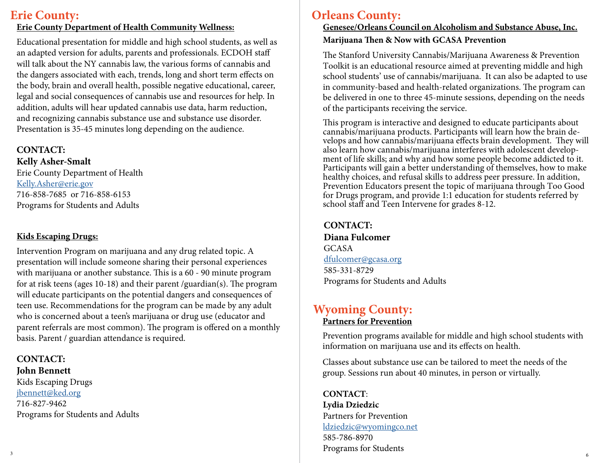# **Erie County:**

#### **Erie County Department of Health Community Wellness:**

Educational presentation for middle and high school students, as well as an adapted version for adults, parents and professionals. ECDOH staff will talk about the NY cannabis law, the various forms of cannabis and the dangers associated with each, trends, long and short term effects on the body, brain and overall health, possible negative educational, career, legal and social consequences of cannabis use and resources for help. In addition, adults will hear updated cannabis use data, harm reduction, and recognizing cannabis substance use and substance use disorder. Presentation is 35-45 minutes long depending on the audience.

# **CONTACT:**

**Kelly Asher-Smalt** Erie County Department of Health [Kelly.Asher@erie.gov](mailto:Kelly.Asher%40erie.gov%20?subject=) 716-858-7685 or 716-858-6153 Programs for Students and Adults

### **Kids Escaping Drugs:**

Intervention Program on marijuana and any drug related topic. A presentation will include someone sharing their personal experiences with marijuana or another substance. This is a 60 - 90 minute program for at risk teens (ages 10-18) and their parent /guardian(s). The program will educate participants on the potential dangers and consequences of teen use. Recommendations for the program can be made by any adult who is concerned about a teen's marijuana or drug use (educator and parent referrals are most common). The program is offered on a monthly basis. Parent / guardian attendance is required.

### **CONTACT:**

**John Bennett** 

Kids Escaping Drugs [jbennett@ked.org](mailto:jbennett%40ked.org?subject=) 716-827-9462 Programs for Students and Adults

# **Orleans County:**

### **Genesee/Orleans Council on Alcoholism and Substance Abuse, Inc. Marijuana Then & Now with GCASA Prevention**

The Stanford University Cannabis/Marijuana Awareness & Prevention Toolkit is an educational resource aimed at preventing middle and high school students' use of cannabis/marijuana. It can also be adapted to use in community-based and health-related organizations. The program can be delivered in one to three 45-minute sessions, depending on the needs of the participants receiving the service.

This program is interactive and designed to educate participants about cannabis/marijuana products. Participants will learn how the brain develops and how cannabis/marijuana effects brain development. They will also learn how cannabis/marijuana interferes with adolescent development of life skills; and why and how some people become addicted to it. Participants will gain a better understanding of themselves, how to make healthy choices, and refusal skills to address peer pressure. In addition, Prevention Educators present the topic of marijuana through Too Good for Drugs program, and provide 1:1 education for students referred by school staff and Teen Intervene for grades 8-12.

### **CONTACT: Diana Fulcomer** GCASA [dfulcomer@gcasa.org](mailto:dfulcomer%40gcasa.org%20?subject=) 585-331-8729 Programs for Students and Adults

### **Wyoming County: Partners for Prevention**

Prevention programs available for middle and high school students with information on marijuana use and its effects on health.

Classes about substance use can be tailored to meet the needs of the group. Sessions run about 40 minutes, in person or virtually.

 $\sim$  6  $\sim$  3 **CONTACT**: **Lydia Dziedzic** Partners for Prevention [ldziedzic@wyomingco.net](mailto:ldziedzic%40wyomingco.net?subject=) 585-786-8970 Programs for Students